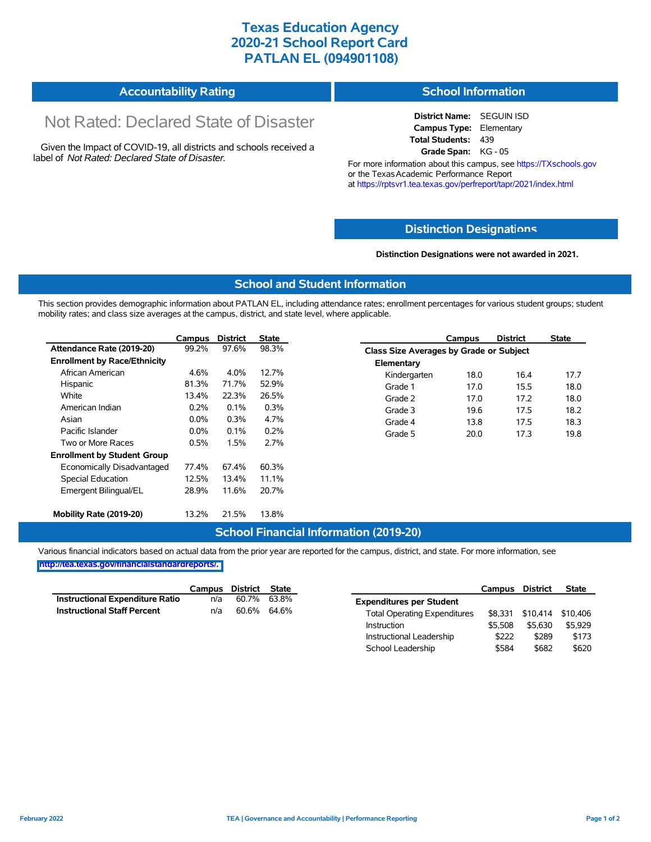## **Texas Education Agency 2020-21 School Report Card PATLAN EL (094901108)**

#### **Accountability Rating School Information**

# Not Rated: Declared State of Disaster

Given the Impact of COVID-19, all districts and schools received a label of *Not Rated: Declared State of Disaster.*

#### **District Name:** SEGUIN ISD **Campus Type:** Elementary **Total Students:** 439 **Grade Span:** KG - 05

For more information about this campus, see https://TXschools.gov or the Texas Academic Performance Report at https://rptsvr1.tea.texas.gov/perfreport/tapr/2021/index.html

### **Distinction Designat[ions](https://TXschools.gov)**

**Distinction Designations were not awarded in 2021.**

School Leadership  $$584$  \$682 \$620

#### **School and Student Information**

This section provides demographic information about PATLAN EL, including attendance rates; enrollment percentages for various student groups; student mobility rates; and class size averages at the campus, district, and state level, where applicable.

|                                     | Campus  | <b>District</b> | <b>State</b> |              | Campus                                  | <b>District</b> | <b>State</b> |  |  |
|-------------------------------------|---------|-----------------|--------------|--------------|-----------------------------------------|-----------------|--------------|--|--|
| Attendance Rate (2019-20)           | 99.2%   | 97.6%           | 98.3%        |              | Class Size Averages by Grade or Subject |                 |              |  |  |
| <b>Enrollment by Race/Ethnicity</b> |         |                 |              | Elementary   |                                         |                 |              |  |  |
| African American                    | 4.6%    | 4.0%            | 12.7%        | Kindergarten | 18.0                                    | 16.4            | 17.7         |  |  |
| Hispanic                            | 81.3%   | 71.7%           | 52.9%        | Grade 1      | 17.0                                    | 15.5            | 18.0         |  |  |
| White                               | 13.4%   | 22.3%           | 26.5%        | Grade 2      | 17.0                                    | 17.2            | 18.0         |  |  |
| American Indian                     | 0.2%    | 0.1%            | 0.3%         | Grade 3      | 19.6                                    | 17.5            | 18.2         |  |  |
| Asian                               | $0.0\%$ | 0.3%            | 4.7%         | Grade 4      | 13.8                                    | 17.5            | 18.3         |  |  |
| Pacific Islander                    | $0.0\%$ | 0.1%            | 0.2%         | Grade 5      | 20.0                                    | 17.3            | 19.8         |  |  |
| Two or More Races                   | 0.5%    | 1.5%            | 2.7%         |              |                                         |                 |              |  |  |
| <b>Enrollment by Student Group</b>  |         |                 |              |              |                                         |                 |              |  |  |
| Economically Disadvantaged          | 77.4%   | 67.4%           | 60.3%        |              |                                         |                 |              |  |  |
| Special Education                   | 12.5%   | 13.4%           | 11.1%        |              |                                         |                 |              |  |  |
| Emergent Bilingual/EL               | 28.9%   | 11.6%           | 20.7%        |              |                                         |                 |              |  |  |
|                                     |         |                 |              |              |                                         |                 |              |  |  |
| Mobility Rate (2019-20)             | 13.2%   | 21.5%           | 13.8%        |              |                                         |                 |              |  |  |

#### **School Financial Information (2019-20)**

Various financial indicators based on actual data from the prior year are reported for the campus, district, and state. For more information, see

**[http://tea.texas.gov/financialstandardreports/.](http://tea.texas.gov/financialstandardreports/)**

|                                        | Campus | District | State |                                     | Campus  | <b>District</b>  | <b>State</b> |
|----------------------------------------|--------|----------|-------|-------------------------------------|---------|------------------|--------------|
| <b>Instructional Expenditure Ratio</b> | n/a    | 60.7%    | 63.8% | <b>Expenditures per Student</b>     |         |                  |              |
| <b>Instructional Staff Percent</b>     | n/a    | 60.6%    | 64.6% | <b>Total Operating Expenditures</b> |         | \$8,331 \$10,414 | \$10,406     |
|                                        |        |          |       | Instruction                         | \$5.508 | \$5.630          | \$5.929      |
|                                        |        |          |       | Instructional Leadership            | \$222   | \$289            | \$173        |